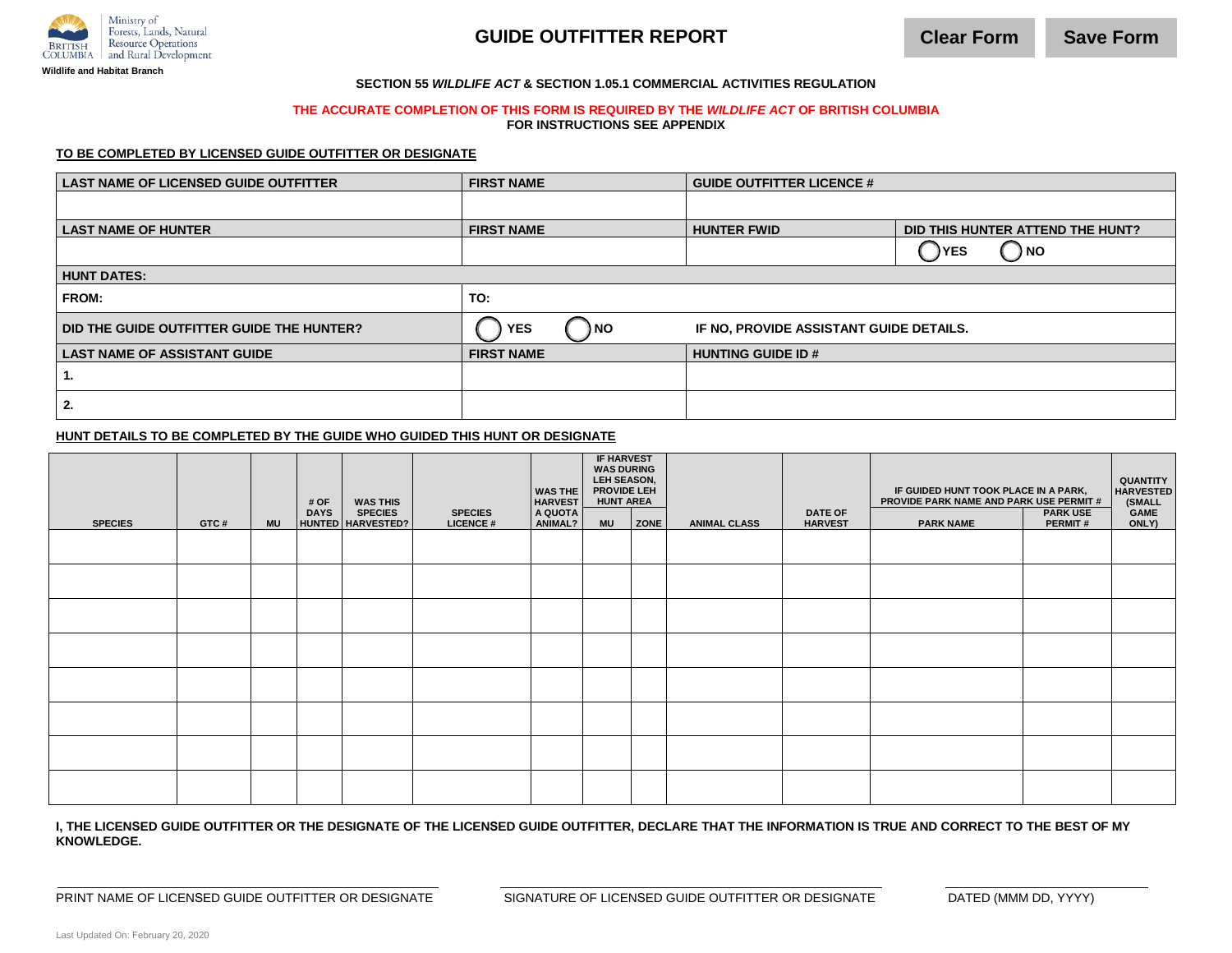

# **GUIDE OUTFITTER REPORT**

#### **SECTION 55** *WILDLIFE ACT* **& SECTION 1.05.1 COMMERCIAL ACTIVITIES REGULATION**

#### **THE ACCURATE COMPLETION OF THIS FORM IS REQUIRED BY THE** *WILDLIFE ACT* **OF BRITISH COLUMBIA**

**FOR INSTRUCTIONS SEE APPENDIX**

#### **TO BE COMPLETED BY LICENSED GUIDE OUTFITTER OR DESIGNATE**

| <b>LAST NAME OF LICENSED GUIDE OUTFITTER</b> | <b>FIRST NAME</b>                                             | <b>GUIDE OUTFITTER LICENCE #</b> |                                       |  |  |  |  |  |  |  |
|----------------------------------------------|---------------------------------------------------------------|----------------------------------|---------------------------------------|--|--|--|--|--|--|--|
|                                              |                                                               |                                  |                                       |  |  |  |  |  |  |  |
| <b>LAST NAME OF HUNTER</b>                   | <b>FIRST NAME</b>                                             | <b>HUNTER FWID</b>               | DID THIS HUNTER ATTEND THE HUNT?      |  |  |  |  |  |  |  |
|                                              |                                                               |                                  | $\bigcirc$ NO<br><b>YES</b><br>$\Box$ |  |  |  |  |  |  |  |
| <b>HUNT DATES:</b>                           |                                                               |                                  |                                       |  |  |  |  |  |  |  |
| <b>FROM:</b>                                 | TO:                                                           |                                  |                                       |  |  |  |  |  |  |  |
| DID THE GUIDE OUTFITTER GUIDE THE HUNTER?    | ) NO<br><b>YES</b><br>IF NO, PROVIDE ASSISTANT GUIDE DETAILS. |                                  |                                       |  |  |  |  |  |  |  |
| <b>LAST NAME OF ASSISTANT GUIDE</b>          | <b>FIRST NAME</b>                                             | <b>HUNTING GUIDE ID#</b>         |                                       |  |  |  |  |  |  |  |
| ъ.                                           |                                                               |                                  |                                       |  |  |  |  |  |  |  |
| 2.                                           |                                                               |                                  |                                       |  |  |  |  |  |  |  |

#### **HUNT DETAILS TO BE COMPLETED BY THE GUIDE WHO GUIDED THIS HUNT OR DESIGNATE**

| <b>SPECIES</b> | GTC# | <b>MU</b> | # OF<br><b>DAYS</b> | <b>WAS THIS</b><br><b>SPECIES</b><br>HUNTED HARVESTED? | <b>SPECIES</b><br><b>LICENCE#</b> | <b>WAS THE</b><br><b>HARVEST</b><br>A QUOTA<br>ANIMAL? | <b>IF HARVEST</b><br><b>WAS DURING</b><br>LEH SEASON,<br>PROVIDE LEH<br><b>HUNT AREA</b><br><b>MU</b> | <b>ZONE</b> | <b>ANIMAL CLASS</b> | <b>DATE OF</b><br><b>HARVEST</b> | IF GUIDED HUNT TOOK PLACE IN A PARK,<br>PROVIDE PARK NAME AND PARK USE PERMIT #<br><b>PARK NAME</b> | <b>PARK USE</b><br><b>PERMIT#</b> | QUANTITY<br><b>HARVESTED</b><br>(SMALL<br>GAME<br>ONLY) |
|----------------|------|-----------|---------------------|--------------------------------------------------------|-----------------------------------|--------------------------------------------------------|-------------------------------------------------------------------------------------------------------|-------------|---------------------|----------------------------------|-----------------------------------------------------------------------------------------------------|-----------------------------------|---------------------------------------------------------|
|                |      |           |                     |                                                        |                                   |                                                        |                                                                                                       |             |                     |                                  |                                                                                                     |                                   |                                                         |
|                |      |           |                     |                                                        |                                   |                                                        |                                                                                                       |             |                     |                                  |                                                                                                     |                                   |                                                         |
|                |      |           |                     |                                                        |                                   |                                                        |                                                                                                       |             |                     |                                  |                                                                                                     |                                   |                                                         |
|                |      |           |                     |                                                        |                                   |                                                        |                                                                                                       |             |                     |                                  |                                                                                                     |                                   |                                                         |
|                |      |           |                     |                                                        |                                   |                                                        |                                                                                                       |             |                     |                                  |                                                                                                     |                                   |                                                         |
|                |      |           |                     |                                                        |                                   |                                                        |                                                                                                       |             |                     |                                  |                                                                                                     |                                   |                                                         |
|                |      |           |                     |                                                        |                                   |                                                        |                                                                                                       |             |                     |                                  |                                                                                                     |                                   |                                                         |

**I, THE LICENSED GUIDE OUTFITTER OR THE DESIGNATE OF THE LICENSED GUIDE OUTFITTER, DECLARE THAT THE INFORMATION IS TRUE AND CORRECT TO THE BEST OF MY KNOWLEDGE.**